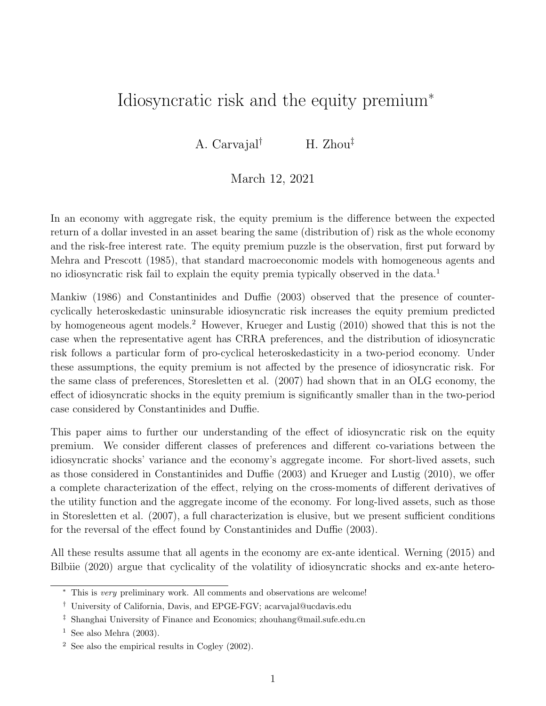# Idiosyncratic risk and the equity premium<sup>∗</sup>

A. Carvajal† H. Zhou‡

# March 12, 2021

In an economy with aggregate risk, the equity premium is the difference between the expected return of a dollar invested in an asset bearing the same (distribution of) risk as the whole economy and the risk-free interest rate. The equity premium puzzle is the observation, first put forward by Mehra and Prescott (1985), that standard macroeconomic models with homogeneous agents and no idiosyncratic risk fail to explain the equity premia typically observed in the data.<sup>1</sup>

Mankiw (1986) and Constantinides and Duffie (2003) observed that the presence of countercyclically heteroskedastic uninsurable idiosyncratic risk increases the equity premium predicted by homogeneous agent models.<sup>2</sup> However, Krueger and Lustig (2010) showed that this is not the case when the representative agent has CRRA preferences, and the distribution of idiosyncratic risk follows a particular form of pro-cyclical heteroskedasticity in a two-period economy. Under these assumptions, the equity premium is not affected by the presence of idiosyncratic risk. For the same class of preferences, Storesletten et al. (2007) had shown that in an OLG economy, the effect of idiosyncratic shocks in the equity premium is significantly smaller than in the two-period case considered by Constantinides and Duffie.

This paper aims to further our understanding of the effect of idiosyncratic risk on the equity premium. We consider different classes of preferences and different co-variations between the idiosyncratic shocks' variance and the economy's aggregate income. For short-lived assets, such as those considered in Constantinides and Duffie (2003) and Krueger and Lustig (2010), we offer a complete characterization of the effect, relying on the cross-moments of different derivatives of the utility function and the aggregate income of the economy. For long-lived assets, such as those in Storesletten et al. (2007), a full characterization is elusive, but we present sufficient conditions for the reversal of the effect found by Constantinides and Duffie (2003).

All these results assume that all agents in the economy are ex-ante identical. Werning (2015) and Bilbiie (2020) argue that cyclicality of the volatility of idiosyncratic shocks and ex-ante hetero-

<sup>∗</sup> This is very preliminary work. All comments and observations are welcome!

<sup>†</sup> University of California, Davis, and EPGE-FGV; acarvajal@ucdavis.edu

<sup>‡</sup> Shanghai University of Finance and Economics; zhouhang@mail.sufe.edu.cn

<sup>&</sup>lt;sup>1</sup> See also Mehra  $(2003)$ .

 $2$  See also the empirical results in Cogley (2002).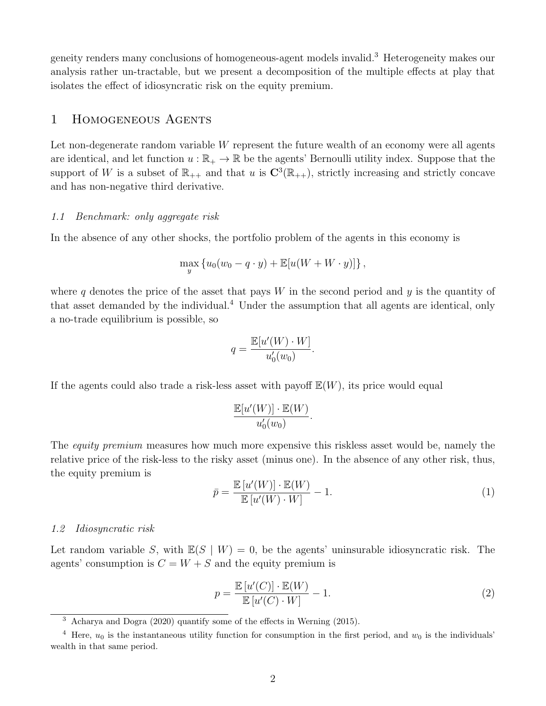geneity renders many conclusions of homogeneous-agent models invalid.<sup>3</sup> Heterogeneity makes our analysis rather un-tractable, but we present a decomposition of the multiple effects at play that isolates the effect of idiosyncratic risk on the equity premium.

# 1 Homogeneous Agents

Let non-degenerate random variable  $W$  represent the future wealth of an economy were all agents are identical, and let function  $u : \mathbb{R}_+ \to \mathbb{R}$  be the agents' Bernoulli utility index. Suppose that the support of W is a subset of  $\mathbb{R}_{++}$  and that u is  $\mathbb{C}^3(\mathbb{R}_{++})$ , strictly increasing and strictly concave and has non-negative third derivative.

#### 1.1 Benchmark: only aggregate risk

In the absence of any other shocks, the portfolio problem of the agents in this economy is

$$
\max_{y} \left\{ u_0(w_0 - q \cdot y) + \mathbb{E}[u(W + W \cdot y)] \right\},\,
$$

where q denotes the price of the asset that pays  $W$  in the second period and  $y$  is the quantity of that asset demanded by the individual.<sup>4</sup> Under the assumption that all agents are identical, only a no-trade equilibrium is possible, so

$$
q = \frac{\mathbb{E}[u'(W) \cdot W]}{u'_0(w_0)}.
$$

If the agents could also trade a risk-less asset with payoff  $\mathbb{E}(W)$ , its price would equal

$$
\frac{\mathbb{E}[u'(W)]\cdot \mathbb{E}(W)}{u_0'(w_0)}.
$$

The *equity premium* measures how much more expensive this riskless asset would be, namely the relative price of the risk-less to the risky asset (minus one). In the absence of any other risk, thus, the equity premium is

$$
\bar{p} = \frac{\mathbb{E}\left[u'(W)\right] \cdot \mathbb{E}(W)}{\mathbb{E}\left[u'(W) \cdot W\right]} - 1.
$$
\n(1)

## 1.2 Idiosyncratic risk

Let random variable S, with  $\mathbb{E}(S | W) = 0$ , be the agents' uninsurable idiosyncratic risk. The agents' consumption is  $C = W + S$  and the equity premium is

$$
p = \frac{\mathbb{E}\left[u'(C)\right] \cdot \mathbb{E}(W)}{\mathbb{E}\left[u'(C) \cdot W\right]} - 1.
$$
\n(2)

<sup>&</sup>lt;sup>3</sup> Acharya and Dogra (2020) quantify some of the effects in Werning (2015).

<sup>&</sup>lt;sup>4</sup> Here,  $u_0$  is the instantaneous utility function for consumption in the first period, and  $w_0$  is the individuals' wealth in that same period.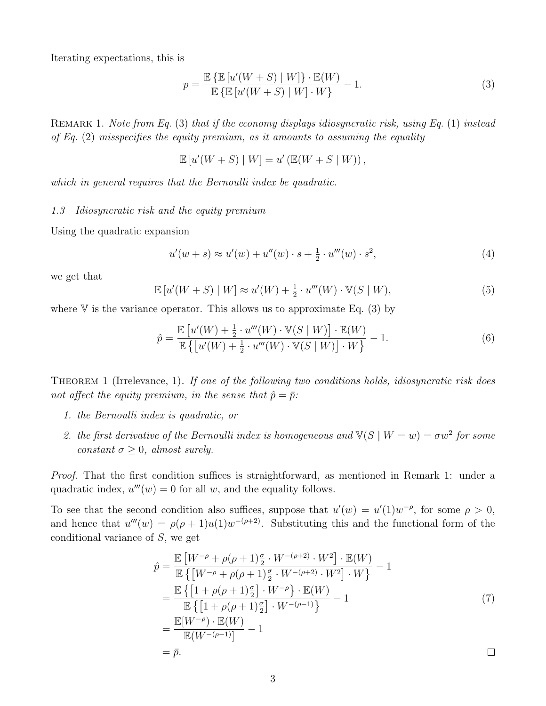Iterating expectations, this is

$$
p = \frac{\mathbb{E}\left\{\mathbb{E}\left[u'(W+S) \mid W\right]\right\} \cdot \mathbb{E}(W)}{\mathbb{E}\left\{\mathbb{E}\left[u'(W+S) \mid W\right] \cdot W\right\}} - 1.
$$
\n(3)

REMARK 1. Note from Eq. (3) that if the economy displays idiosyncratic risk, using Eq. (1) instead of Eq.  $(2)$  misspecifies the equity premium, as it amounts to assuming the equality

$$
\mathbb{E}\left[u'(W+S) \mid W\right] = u'\left(\mathbb{E}(W+S \mid W)\right),\
$$

which in general requires that the Bernoulli index be quadratic.

1.3 Idiosyncratic risk and the equity premium

Using the quadratic expansion

$$
u'(w+s) \approx u'(w) + u''(w) \cdot s + \frac{1}{2} \cdot u'''(w) \cdot s^2,
$$
 (4)

we get that

$$
\mathbb{E}\left[u'(W+S)\mid W\right] \approx u'(W) + \frac{1}{2} \cdot u'''(W) \cdot \mathbb{V}(S \mid W),\tag{5}
$$

where  $V$  is the variance operator. This allows us to approximate Eq. (3) by

$$
\hat{p} = \frac{\mathbb{E}\left[u'(W) + \frac{1}{2} \cdot u'''(W) \cdot \mathbb{V}(S \mid W)\right] \cdot \mathbb{E}(W)}{\mathbb{E}\left\{\left[u'(W) + \frac{1}{2} \cdot u'''(W) \cdot \mathbb{V}(S \mid W)\right] \cdot W\right\}} - 1.
$$
\n(6)

THEOREM 1 (Irrelevance, 1). If one of the following two conditions holds, idiosyncratic risk does not affect the equity premium, in the sense that  $\hat{p} = \bar{p}$ :

- 1. the Bernoulli index is quadratic, or
- 2. the first derivative of the Bernoulli index is homogeneous and  $\mathbb{V}(S \mid W = w) = \sigma w^2$  for some constant  $\sigma \geq 0$ , almost surely.

Proof. That the first condition suffices is straightforward, as mentioned in Remark 1: under a quadratic index,  $u'''(w) = 0$  for all w, and the equality follows.

To see that the second condition also suffices, suppose that  $u'(w) = u'(1)w^{-\rho}$ , for some  $\rho > 0$ , and hence that  $u'''(w) = \rho(\rho+1)u(1)w^{-(\rho+2)}$ . Substituting this and the functional form of the conditional variance of S, we get

$$
\hat{p} = \frac{\mathbb{E}\left[W^{-\rho} + \rho(\rho+1)\frac{\sigma}{2} \cdot W^{-(\rho+2)} \cdot W^2\right] \cdot \mathbb{E}(W)}{\mathbb{E}\left\{\left[W^{-\rho} + \rho(\rho+1)\frac{\sigma}{2} \cdot W^{-(\rho+2)} \cdot W^2\right] \cdot W\right\}} - 1
$$
\n
$$
= \frac{\mathbb{E}\left\{\left[1 + \rho(\rho+1)\frac{\sigma}{2}\right] \cdot W^{-\rho}\right\} \cdot \mathbb{E}(W)}{\mathbb{E}\left\{\left[1 + \rho(\rho+1)\frac{\sigma}{2}\right] \cdot W^{-(\rho-1)}\right\}} - 1
$$
\n
$$
= \frac{\mathbb{E}[W^{-\rho}) \cdot \mathbb{E}(W)}{\mathbb{E}(W^{-(\rho-1)})} - 1
$$
\n
$$
= \bar{p}.
$$
\n
$$
\Box
$$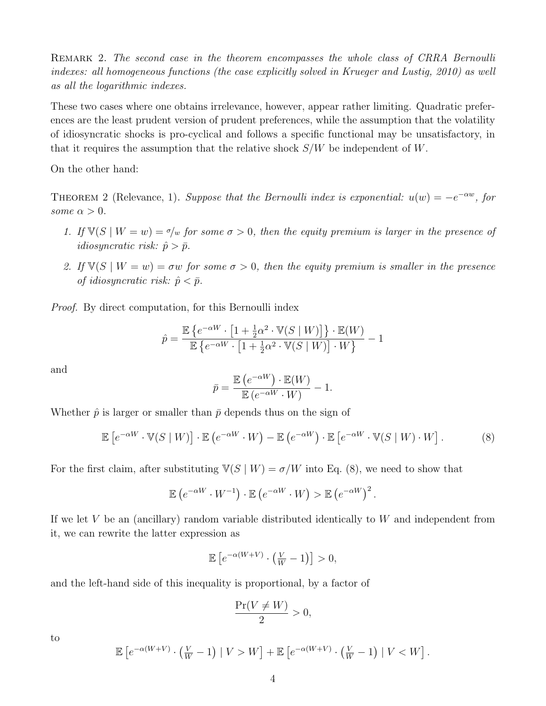REMARK 2. The second case in the theorem encompasses the whole class of CRRA Bernoulli indexes: all homogeneous functions (the case explicitly solved in Krueger and Lustig, 2010) as well as all the logarithmic indexes.

These two cases where one obtains irrelevance, however, appear rather limiting. Quadratic preferences are the least prudent version of prudent preferences, while the assumption that the volatility of idiosyncratic shocks is pro-cyclical and follows a specific functional may be unsatisfactory, in that it requires the assumption that the relative shock  $S/W$  be independent of W.

On the other hand:

THEOREM 2 (Relevance, 1). Suppose that the Bernoulli index is exponential:  $u(w) = -e^{-\alpha w}$ , for some  $\alpha > 0$ .

- 1. If  $\mathbb{V}(S \mid W = w) = \sigma/w$  for some  $\sigma > 0$ , then the equity premium is larger in the presence of *idiosyncratic risk:*  $\hat{p} > \bar{p}$ .
- 2. If  $\mathbb{V}(S \mid W = w) = \sigma w$  for some  $\sigma > 0$ , then the equity premium is smaller in the presence of idiosyncratic risk:  $\hat{p} < \bar{p}$ .

Proof. By direct computation, for this Bernoulli index

$$
\hat{p} = \frac{\mathbb{E}\left\{e^{-\alpha W}\cdot\left[1+\frac{1}{2}\alpha^2\cdot\mathbb{V}(S\mid W)\right]\right\}\cdot\mathbb{E}(W)}{\mathbb{E}\left\{e^{-\alpha W}\cdot\left[1+\frac{1}{2}\alpha^2\cdot\mathbb{V}(S\mid W)\right]\cdot W\right\}} - 1
$$

and

$$
\bar{p} = \frac{\mathbb{E}\left(e^{-\alpha W}\right)\cdot \mathbb{E}(W)}{\mathbb{E}\left(e^{-\alpha W}\cdot W\right)} - 1.
$$

Whether  $\hat{p}$  is larger or smaller than  $\bar{p}$  depends thus on the sign of

$$
\mathbb{E}\left[e^{-\alpha W} \cdot \mathbb{V}(S \mid W)\right] \cdot \mathbb{E}\left(e^{-\alpha W} \cdot W\right) - \mathbb{E}\left(e^{-\alpha W}\right) \cdot \mathbb{E}\left[e^{-\alpha W} \cdot \mathbb{V}(S \mid W) \cdot W\right].
$$
 (8)

For the first claim, after substituting  $\mathbb{V}(S | W) = \sigma/W$  into Eq. (8), we need to show that

$$
\mathbb{E}\left(e^{-\alpha W} \cdot W^{-1}\right) \cdot \mathbb{E}\left(e^{-\alpha W} \cdot W\right) > \mathbb{E}\left(e^{-\alpha W}\right)^2.
$$

If we let  $V$  be an (ancillary) random variable distributed identically to  $W$  and independent from it, we can rewrite the latter expression as

$$
\mathbb{E}\left[e^{-\alpha(W+V)}\cdot\left(\frac{V}{W}-1\right)\right]>0,
$$

and the left-hand side of this inequality is proportional, by a factor of

$$
\frac{\Pr(V \neq W)}{2} > 0,
$$

to

$$
\mathbb{E}\left[e^{-\alpha(W+V)}\cdot\left(\frac{V}{W}-1\right)\mid V>W\right]+\mathbb{E}\left[e^{-\alpha(W+V)}\cdot\left(\frac{V}{W}-1\right)\mid V
$$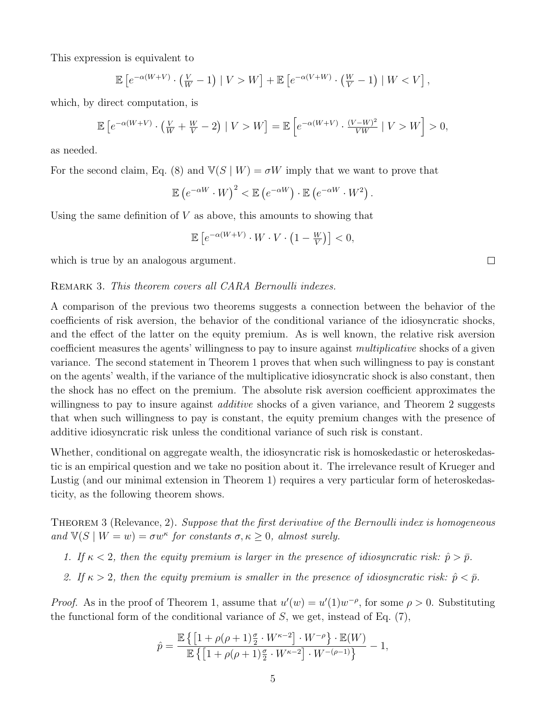This expression is equivalent to

$$
\mathbb{E}\left[e^{-\alpha(W+V)}\cdot\left(\frac{V}{W}-1\right)\mid V>W\right]+\mathbb{E}\left[e^{-\alpha(V+W)}\cdot\left(\frac{W}{V}-1\right)\mid W
$$

which, by direct computation, is

$$
\mathbb{E}\left[e^{-\alpha(W+V)}\cdot\left(\frac{V}{W}+\frac{W}{V}-2\right)\mid V>W\right] = \mathbb{E}\left[e^{-\alpha(W+V)}\cdot\frac{(V-W)^2}{VW}\mid V>W\right] > 0,
$$

as needed.

For the second claim, Eq. (8) and  $\mathbb{V}(S | W) = \sigma W$  imply that we want to prove that

$$
\mathbb{E}\left(e^{-\alpha W} \cdot W\right)^2 < \mathbb{E}\left(e^{-\alpha W}\right) \cdot \mathbb{E}\left(e^{-\alpha W} \cdot W^2\right).
$$

Using the same definition of  $V$  as above, this amounts to showing that

$$
\mathbb{E}\left[e^{-\alpha(W+V)}\cdot W\cdot V\cdot\left(1-\frac{W}{V}\right)\right]<0,
$$

which is true by an analogous argument.

#### REMARK 3. This theorem covers all CARA Bernoulli indexes.

A comparison of the previous two theorems suggests a connection between the behavior of the coefficients of risk aversion, the behavior of the conditional variance of the idiosyncratic shocks, and the effect of the latter on the equity premium. As is well known, the relative risk aversion coefficient measures the agents' willingness to pay to insure against multiplicative shocks of a given variance. The second statement in Theorem 1 proves that when such willingness to pay is constant on the agents' wealth, if the variance of the multiplicative idiosyncratic shock is also constant, then the shock has no effect on the premium. The absolute risk aversion coefficient approximates the willingness to pay to insure against *additive* shocks of a given variance, and Theorem 2 suggests that when such willingness to pay is constant, the equity premium changes with the presence of additive idiosyncratic risk unless the conditional variance of such risk is constant.

Whether, conditional on aggregate wealth, the idiosyncratic risk is homoskedastic or heteroskedastic is an empirical question and we take no position about it. The irrelevance result of Krueger and Lustig (and our minimal extension in Theorem 1) requires a very particular form of heteroskedasticity, as the following theorem shows.

THEOREM 3 (Relevance, 2). Suppose that the first derivative of the Bernoulli index is homogeneous and  $\mathbb{V}(S \mid W = w) = \sigma w^{\kappa}$  for constants  $\sigma, \kappa \geq 0$ , almost surely.

- 1. If  $\kappa < 2$ , then the equity premium is larger in the presence of idiosyncratic risk:  $\hat{p} > \bar{p}$ .
- 2. If  $\kappa > 2$ , then the equity premium is smaller in the presence of idiosyncratic risk:  $\hat{p} < \bar{p}$ .

*Proof.* As in the proof of Theorem 1, assume that  $u'(w) = u'(1)w^{-\rho}$ , for some  $\rho > 0$ . Substituting the functional form of the conditional variance of  $S$ , we get, instead of Eq.  $(7)$ ,

$$
\hat{p} = \frac{\mathbb{E}\left\{ \left[ 1 + \rho(\rho + 1)\frac{\sigma}{2} \cdot W^{\kappa - 2} \right] \cdot W^{-\rho} \right\} \cdot \mathbb{E}(W)}{\mathbb{E}\left\{ \left[ 1 + \rho(\rho + 1)\frac{\sigma}{2} \cdot W^{\kappa - 2} \right] \cdot W^{-(\rho - 1)} \right\}} - 1,
$$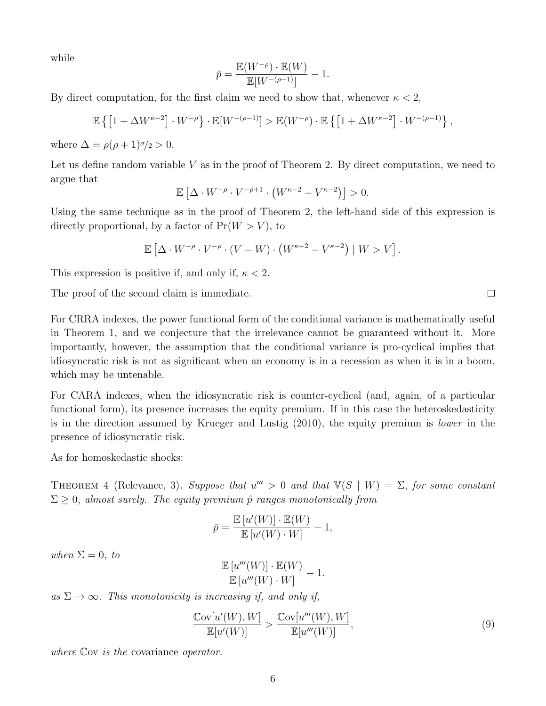while

$$
\bar{p} = \frac{\mathbb{E}(W^{-\rho}) \cdot \mathbb{E}(W)}{\mathbb{E}[W^{-(\rho-1)}]} - 1.
$$

By direct computation, for the first claim we need to show that, whenever  $\kappa < 2$ ,

$$
\mathbb{E}\left\{\left[1+\Delta W^{\kappa-2}\right]\cdot W^{-\rho}\right\}\cdot \mathbb{E}[W^{-(\rho-1)}] > \mathbb{E}(W^{-\rho})\cdot \mathbb{E}\left\{\left[1+\Delta W^{\kappa-2}\right]\cdot W^{-(\rho-1)}\right\},\,
$$

where  $\Delta = \rho(\rho + 1)\sigma/2 > 0$ .

Let us define random variable  $V$  as in the proof of Theorem 2. By direct computation, we need to argue that

$$
\mathbb{E}\left[\Delta \cdot W^{-\rho} \cdot V^{-\rho+1} \cdot \left(W^{\kappa-2} - V^{\kappa-2}\right)\right] > 0.
$$

Using the same technique as in the proof of Theorem 2, the left-hand side of this expression is directly proportional, by a factor of  $Pr(W > V)$ , to

$$
\mathbb{E}\left[\Delta \cdot W^{-\rho} \cdot V^{-\rho} \cdot (V - W) \cdot \left(W^{\kappa - 2} - V^{\kappa - 2}\right) \mid W > V\right].
$$

This expression is positive if, and only if,  $\kappa < 2$ .

The proof of the second claim is immediate.

For CRRA indexes, the power functional form of the conditional variance is mathematically useful in Theorem 1, and we conjecture that the irrelevance cannot be guaranteed without it. More importantly, however, the assumption that the conditional variance is pro-cyclical implies that idiosyncratic risk is not as significant when an economy is in a recession as when it is in a boom, which may be untenable.

For CARA indexes, when the idiosyncratic risk is counter-cyclical (and, again, of a particular functional form), its presence increases the equity premium. If in this case the heteroskedasticity is in the direction assumed by Krueger and Lustig (2010), the equity premium is lower in the presence of idiosyncratic risk.

As for homoskedastic shocks:

THEOREM 4 (Relevance, 3). Suppose that  $u''' > 0$  and that  $\mathbb{V}(S \mid W) = \Sigma$ , for some constant  $\Sigma \geq 0$ , almost surely. The equity premium  $\hat{p}$  ranges monotonically from

$$
\bar{p} = \frac{\mathbb{E}\left[u'(W)\right] \cdot \mathbb{E}(W)}{\mathbb{E}\left[u'(W) \cdot W\right]} - 1,
$$

when  $\Sigma = 0$ , to

$$
\frac{\mathbb{E}\left[u'''(W)\right] \cdot \mathbb{E}(W)}{\mathbb{E}\left[u'''(W) \cdot W\right]} - 1.
$$

as  $\Sigma \to \infty$ . This monotonicity is increasing if, and only if,

$$
\frac{\mathbb{C}\text{ov}[u'(W), W]}{\mathbb{E}[u'(W)]} > \frac{\mathbb{C}\text{ov}[u'''(W), W]}{\mathbb{E}[u'''(W)]},
$$
\n(9)

where Cov is the covariance *operator*.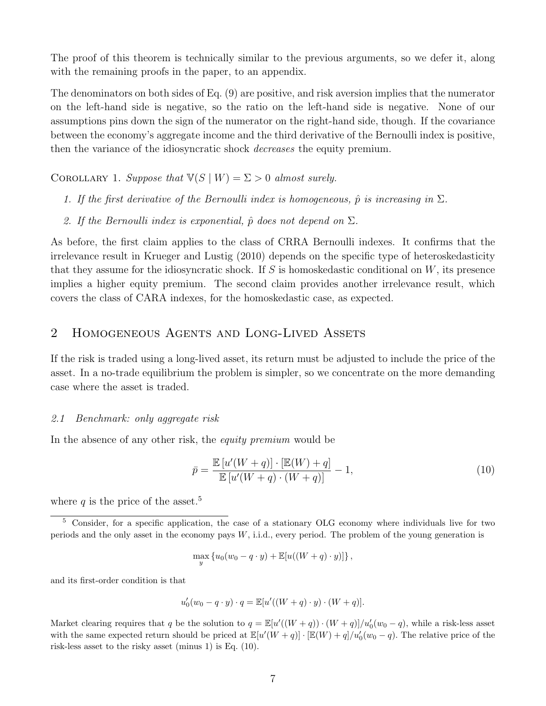The proof of this theorem is technically similar to the previous arguments, so we defer it, along with the remaining proofs in the paper, to an appendix.

The denominators on both sides of Eq. (9) are positive, and risk aversion implies that the numerator on the left-hand side is negative, so the ratio on the left-hand side is negative. None of our assumptions pins down the sign of the numerator on the right-hand side, though. If the covariance between the economy's aggregate income and the third derivative of the Bernoulli index is positive, then the variance of the idiosyncratic shock decreases the equity premium.

COROLLARY 1. Suppose that  $\mathbb{V}(S | W) = \Sigma > 0$  almost surely.

- 1. If the first derivative of the Bernoulli index is homogeneous,  $\hat{p}$  is increasing in  $\Sigma$ .
- 2. If the Bernoulli index is exponential,  $\hat{p}$  does not depend on  $\Sigma$ .

As before, the first claim applies to the class of CRRA Bernoulli indexes. It confirms that the irrelevance result in Krueger and Lustig (2010) depends on the specific type of heteroskedasticity that they assume for the idiosyncratic shock. If S is homoskedastic conditional on  $W$ , its presence implies a higher equity premium. The second claim provides another irrelevance result, which covers the class of CARA indexes, for the homoskedastic case, as expected.

# 2 Homogeneous Agents and Long-Lived Assets

If the risk is traded using a long-lived asset, its return must be adjusted to include the price of the asset. In a no-trade equilibrium the problem is simpler, so we concentrate on the more demanding case where the asset is traded.

#### 2.1 Benchmark: only aggregate risk

In the absence of any other risk, the *equity premium* would be

$$
\bar{p} = \frac{\mathbb{E}\left[u'(W+q)\right] \cdot \left[\mathbb{E}(W) + q\right]}{\mathbb{E}\left[u'(W+q) \cdot (W+q)\right]} - 1,\tag{10}
$$

where q is the price of the asset.<sup>5</sup>

$$
\max_{y} \left\{ u_0(w_0 - q \cdot y) + \mathbb{E}[u((W+q) \cdot y)] \right\},\,
$$

and its first-order condition is that

$$
u'_0(w_0 - q \cdot y) \cdot q = \mathbb{E}[u'((W+q) \cdot y) \cdot (W+q)].
$$

Market clearing requires that q be the solution to  $q = \mathbb{E}[u'((W+q)) \cdot (W+q)]/u'_0(w_0-q)$ , while a risk-less asset with the same expected return should be priced at  $\mathbb{E}[u'(W+q)] \cdot [\mathbb{E}(W) + q]/u_0'(w_0 - q)$ . The relative price of the risk-less asset to the risky asset (minus 1) is Eq. (10).

<sup>5</sup> Consider, for a specific application, the case of a stationary OLG economy where individuals live for two periods and the only asset in the economy pays W, i.i.d., every period. The problem of the young generation is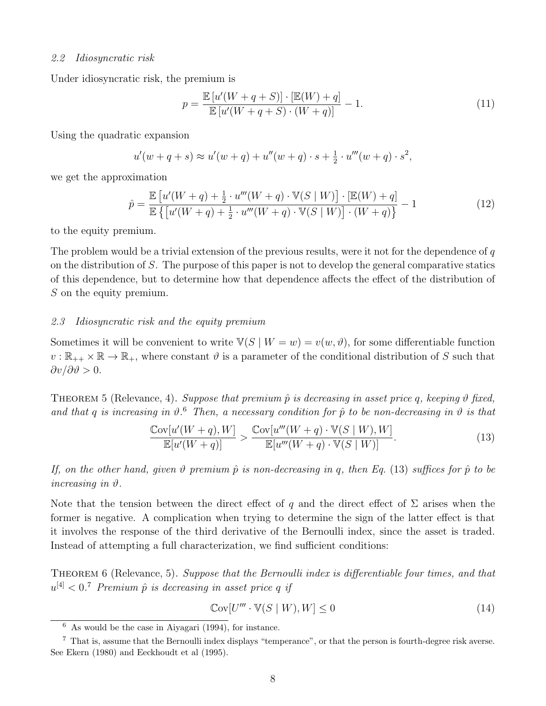#### 2.2 Idiosyncratic risk

Under idiosyncratic risk, the premium is

$$
p = \frac{\mathbb{E}\left[u'(W+q+S)\right] \cdot \left[\mathbb{E}(W)+q\right]}{\mathbb{E}\left[u'(W+q+S)\cdot (W+q)\right]} - 1.
$$
\n(11)

Using the quadratic expansion

$$
u'(w+q+s) \approx u'(w+q) + u''(w+q) \cdot s + \frac{1}{2} \cdot u'''(w+q) \cdot s^2,
$$

we get the approximation

$$
\hat{p} = \frac{\mathbb{E}\left[u'(W+q) + \frac{1}{2} \cdot u'''(W+q) \cdot \mathbb{V}(S \mid W)\right] \cdot \left[\mathbb{E}(W) + q\right]}{\mathbb{E}\left\{\left[u'(W+q) + \frac{1}{2} \cdot u'''(W+q) \cdot \mathbb{V}(S \mid W)\right] \cdot (W+q)\right\}} - 1
$$
\n(12)

to the equity premium.

The problem would be a trivial extension of the previous results, were it not for the dependence of  $q$ on the distribution of S. The purpose of this paper is not to develop the general comparative statics of this dependence, but to determine how that dependence affects the effect of the distribution of S on the equity premium.

#### 2.3 Idiosyncratic risk and the equity premium

Sometimes it will be convenient to write  $\mathbb{V}(S | W = w) = v(w, \vartheta)$ , for some differentiable function  $v : \mathbb{R}_{++} \times \mathbb{R} \to \mathbb{R}_{+}$ , where constant  $\vartheta$  is a parameter of the conditional distribution of S such that  $\partial v/\partial \vartheta > 0.$ 

THEOREM 5 (Relevance, 4). Suppose that premium  $\hat{p}$  is decreasing in asset price q, keeping  $\vartheta$  fixed, and that q is increasing in  $\vartheta$ .<sup>6</sup> Then, a necessary condition for  $\hat{p}$  to be non-decreasing in  $\vartheta$  is that

$$
\frac{\text{Cov}[u'(W+q),W]}{\mathbb{E}[u'(W+q)]} > \frac{\text{Cov}[u'''(W+q)\cdot\mathbb{V}(S\mid W),W]}{\mathbb{E}[u'''(W+q)\cdot\mathbb{V}(S\mid W)]}.
$$
\n(13)

If, on the other hand, given  $\vartheta$  premium  $\hat{p}$  is non-decreasing in q, then Eq. (13) suffices for  $\hat{p}$  to be increasing in  $\vartheta$ .

Note that the tension between the direct effect of q and the direct effect of  $\Sigma$  arises when the former is negative. A complication when trying to determine the sign of the latter effect is that it involves the response of the third derivative of the Bernoulli index, since the asset is traded. Instead of attempting a full characterization, we find sufficient conditions:

THEOREM 6 (Relevance, 5). Suppose that the Bernoulli index is differentiable four times, and that  $u^{[4]} < 0$ .<sup>7</sup> Premium  $\hat{p}$  is decreasing in asset price q if

$$
\mathbb{C}\text{ov}[U''' \cdot \mathbb{V}(S \mid W), W] \le 0\tag{14}
$$

 $\frac{6}{6}$  As would be the case in Aiyagari (1994), for instance.

<sup>7</sup> That is, assume that the Bernoulli index displays "temperance", or that the person is fourth-degree risk averse. See Ekern (1980) and Eeckhoudt et al (1995).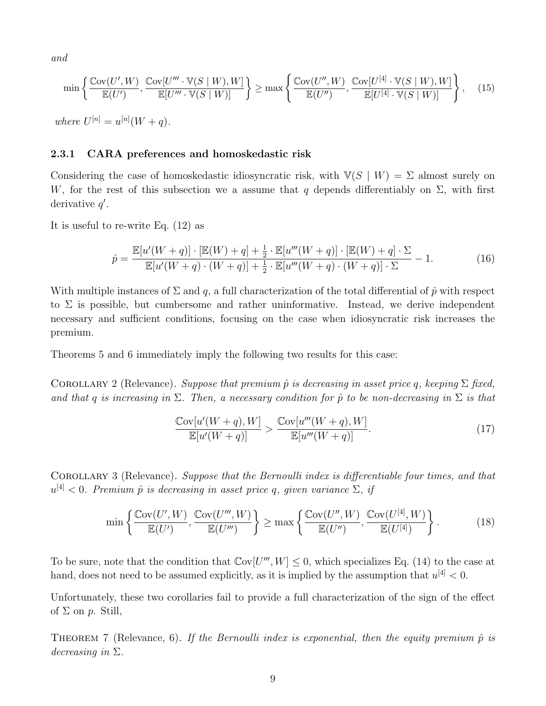and

$$
\min\left\{\frac{\mathbb{C}\text{ov}(U',W)}{\mathbb{E}(U')},\frac{\mathbb{C}\text{ov}[U'''\cdot\mathbb{V}(S\mid W),W]}{\mathbb{E}[U'''\cdot\mathbb{V}(S\mid W)]}\right\} \ge \max\left\{\frac{\mathbb{C}\text{ov}(U'',W)}{\mathbb{E}(U'')},\frac{\mathbb{C}\text{ov}[U^{[4]}\cdot\mathbb{V}(S\mid W),W]}{\mathbb{E}[U^{[4]}\cdot\mathbb{V}(S\mid W)]}\right\},\tag{15}
$$

where  $U^{[n]} = u^{[n]}(W + q)$ .

# 2.3.1 CARA preferences and homoskedastic risk

Considering the case of homoskedastic idiosyncratic risk, with  $\mathbb{V}(S | W) = \Sigma$  almost surely on W, for the rest of this subsection we a assume that q depends differentiably on  $\Sigma$ , with first derivative  $q'$ .

It is useful to re-write Eq. (12) as

$$
\hat{p} = \frac{\mathbb{E}[u'(W+q)] \cdot [\mathbb{E}(W) + q] + \frac{1}{2} \cdot \mathbb{E}[u'''(W+q)] \cdot [\mathbb{E}(W) + q] \cdot \Sigma}{\mathbb{E}[u'(W+q) \cdot (W+q)] + \frac{1}{2} \cdot \mathbb{E}[u'''(W+q) \cdot (W+q)] \cdot \Sigma} - 1.
$$
\n(16)

With multiple instances of  $\Sigma$  and q, a full characterization of the total differential of  $\hat{p}$  with respect to  $\Sigma$  is possible, but cumbersome and rather uninformative. Instead, we derive independent necessary and sufficient conditions, focusing on the case when idiosyncratic risk increases the premium.

Theorems 5 and 6 immediately imply the following two results for this case:

COROLLARY 2 (Relevance). Suppose that premium  $\hat{p}$  is decreasing in asset price q, keeping  $\Sigma$  fixed, and that q is increasing in  $\Sigma$ . Then, a necessary condition for  $\hat{p}$  to be non-decreasing in  $\Sigma$  is that

$$
\frac{\text{Cov}[u'(W+q),W]}{\mathbb{E}[u'(W+q)]} > \frac{\text{Cov}[u'''(W+q),W]}{\mathbb{E}[u'''(W+q)]}.
$$
\n(17)

COROLLARY 3 (Relevance). Suppose that the Bernoulli index is differentiable four times, and that  $u^{[4]} < 0$ . Premium  $\hat{p}$  is decreasing in asset price q, given variance  $\Sigma$ , if

$$
\min\left\{\frac{\text{Cov}(U',W)}{\mathbb{E}(U')},\frac{\text{Cov}(U''',W)}{\mathbb{E}(U''')}\right\} \ge \max\left\{\frac{\text{Cov}(U'',W)}{\mathbb{E}(U'')},\frac{\text{Cov}(U^{[4]},W)}{\mathbb{E}(U^{[4]})}\right\}.
$$
 (18)

To be sure, note that the condition that  $\text{Cov}[U''', W] \leq 0$ , which specializes Eq. (14) to the case at hand, does not need to be assumed explicitly, as it is implied by the assumption that  $u^{[4]} < 0$ .

Unfortunately, these two corollaries fail to provide a full characterization of the sign of the effect of  $\Sigma$  on  $p$ . Still,

THEOREM 7 (Relevance, 6). If the Bernoulli index is exponential, then the equity premium  $\hat{p}$  is decreasing in  $\Sigma$ .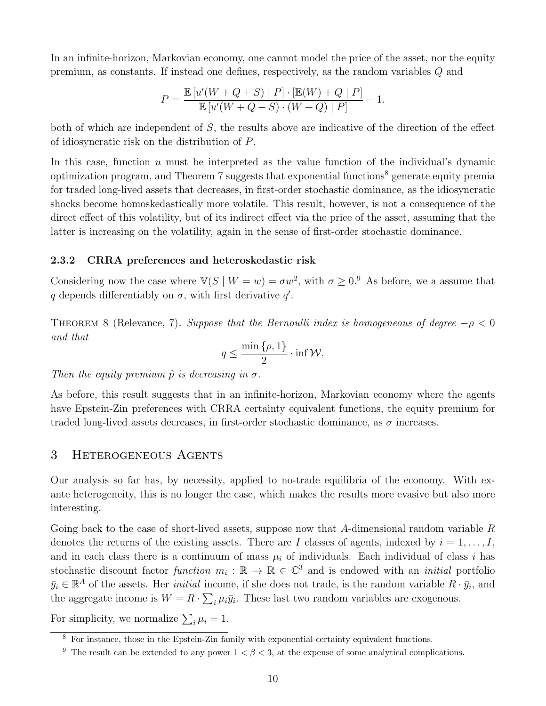In an infinite-horizon, Markovian economy, one cannot model the price of the asset, nor the equity premium, as constants. If instead one defines, respectively, as the random variables Q and

$$
P = \frac{\mathbb{E}\left[u'(W+Q+S) \mid P\right] \cdot \left[\mathbb{E}(W) + Q \mid P\right]}{\mathbb{E}\left[u'(W+Q+S) \cdot (W+Q) \mid P\right]} - 1.
$$

both of which are independent of S, the results above are indicative of the direction of the effect of idiosyncratic risk on the distribution of P.

In this case, function  $u$  must be interpreted as the value function of the individual's dynamic optimization program, and Theorem 7 suggests that exponential functions<sup>8</sup> generate equity premia for traded long-lived assets that decreases, in first-order stochastic dominance, as the idiosyncratic shocks become homoskedastically more volatile. This result, however, is not a consequence of the direct effect of this volatility, but of its indirect effect via the price of the asset, assuming that the latter is increasing on the volatility, again in the sense of first-order stochastic dominance.

#### 2.3.2 CRRA preferences and heteroskedastic risk

Considering now the case where  $\mathbb{V}(S \mid W = w) = \sigma w^2$ , with  $\sigma \geq 0$ .<sup>9</sup> As before, we a assume that q depends differentiably on  $\sigma$ , with first derivative  $q'$ .

THEOREM 8 (Relevance, 7). Suppose that the Bernoulli index is homogeneous of degree  $-\rho < 0$ and that

$$
q \le \frac{\min\{\rho, 1\}}{2} \cdot \inf \mathcal{W}.
$$

Then the equity premium  $\hat{p}$  is decreasing in  $\sigma$ .

As before, this result suggests that in an infinite-horizon, Markovian economy where the agents have Epstein-Zin preferences with CRRA certainty equivalent functions, the equity premium for traded long-lived assets decreases, in first-order stochastic dominance, as  $\sigma$  increases.

# 3 Heterogeneous Agents

Our analysis so far has, by necessity, applied to no-trade equilibria of the economy. With exante heterogeneity, this is no longer the case, which makes the results more evasive but also more interesting.

Going back to the case of short-lived assets, suppose now that A-dimensional random variable  $R$ denotes the returns of the existing assets. There are I classes of agents, indexed by  $i = 1, \ldots, I$ , and in each class there is a continuum of mass  $\mu_i$  of individuals. Each individual of class i has stochastic discount factor function  $m_i : \mathbb{R} \to \mathbb{R} \in \mathbb{C}^3$  and is endowed with an *initial* portfolio  $\bar{y}_i \in \mathbb{R}^A$  of the assets. Her *initial* income, if she does not trade, is the random variable  $R \cdot \bar{y}_i$ , and the aggregate income is  $W = R \cdot \sum_i \mu_i \bar{y}_i$ . These last two random variables are exogenous.

For simplicity, we normalize  $\sum_i \mu_i = 1$ .

<sup>&</sup>lt;sup>8</sup> For instance, those in the Epstein-Zin family with exponential certainty equivalent functions.

<sup>&</sup>lt;sup>9</sup> The result can be extended to any power  $1 < \beta < 3$ , at the expense of some analytical complications.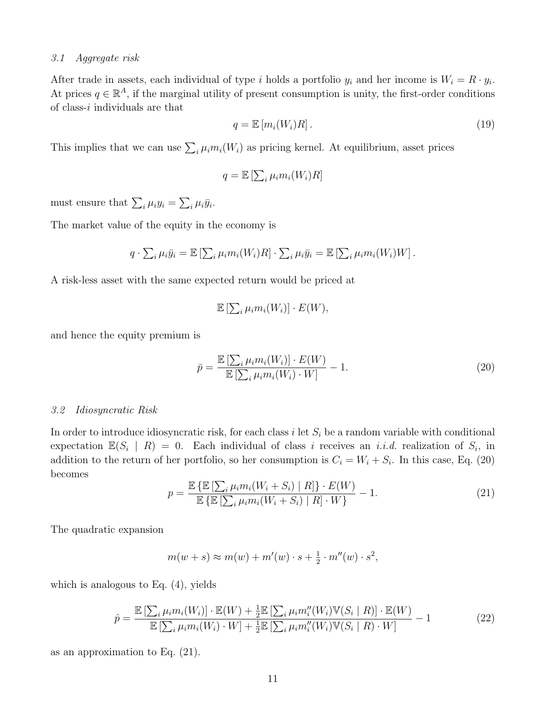## 3.1 Aggregate risk

After trade in assets, each individual of type i holds a portfolio  $y_i$  and her income is  $W_i = R \cdot y_i$ . At prices  $q \in \mathbb{R}^A$ , if the marginal utility of present consumption is unity, the first-order conditions of class- $i$  individuals are that

$$
q = \mathbb{E}\left[m_i(W_i)R\right].\tag{19}
$$

This implies that we can use  $\sum_i \mu_i m_i(W_i)$  as pricing kernel. At equilibrium, asset prices

$$
q = \mathbb{E}\left[\sum_{i} \mu_i m_i(W_i) R\right]
$$

must ensure that  $\sum_i \mu_i y_i = \sum_i \mu_i \bar{y}_i$ .

The market value of the equity in the economy is

$$
q \cdot \sum_i \mu_i \bar{y}_i = \mathbb{E} \left[ \sum_i \mu_i m_i(W_i) R \right] \cdot \sum_i \mu_i \bar{y}_i = \mathbb{E} \left[ \sum_i \mu_i m_i(W_i) W \right].
$$

A risk-less asset with the same expected return would be priced at

$$
\mathbb{E}\left[\sum_{i}\mu_{i}m_{i}(W_{i})\right]\cdot E(W),
$$

and hence the equity premium is

$$
\bar{p} = \frac{\mathbb{E}\left[\sum_{i} \mu_i m_i(W_i)\right] \cdot E(W)}{\mathbb{E}\left[\sum_{i} \mu_i m_i(W_i) \cdot W\right]} - 1.
$$
\n(20)

#### 3.2 Idiosyncratic Risk

In order to introduce idiosyncratic risk, for each class  $i$  let  $S_i$  be a random variable with conditional expectation  $\mathbb{E}(S_i | R) = 0$ . Each individual of class i receives an *i.i.d.* realization of  $S_i$ , in addition to the return of her portfolio, so her consumption is  $C_i = W_i + S_i$ . In this case, Eq. (20) becomes

$$
p = \frac{\mathbb{E}\left\{\mathbb{E}\left[\sum_{i} \mu_{i} m_{i}(W_{i} + S_{i}) \mid R\right]\right\} \cdot E(W)}{\mathbb{E}\left\{\mathbb{E}\left[\sum_{i} \mu_{i} m_{i}(W_{i} + S_{i}) \mid R\right] \cdot W\right\}} - 1.
$$
\n(21)

The quadratic expansion

$$
m(w+s) \approx m(w) + m'(w) \cdot s + \frac{1}{2} \cdot m''(w) \cdot s^2,
$$

which is analogous to Eq. (4), yields

$$
\hat{p} = \frac{\mathbb{E}\left[\sum_{i} \mu_{i} m_{i}(W_{i})\right] \cdot \mathbb{E}(W) + \frac{1}{2} \mathbb{E}\left[\sum_{i} \mu_{i} m_{i}^{\prime\prime}(W_{i}) \mathbb{V}(S_{i} \mid R)\right] \cdot \mathbb{E}(W)}{\mathbb{E}\left[\sum_{i} \mu_{i} m_{i}(W_{i}) \cdot W\right] + \frac{1}{2} \mathbb{E}\left[\sum_{i} \mu_{i} m_{i}^{\prime\prime}(W_{i}) \mathbb{V}(S_{i} \mid R) \cdot W\right]} - 1
$$
\n(22)

as an approximation to Eq. (21).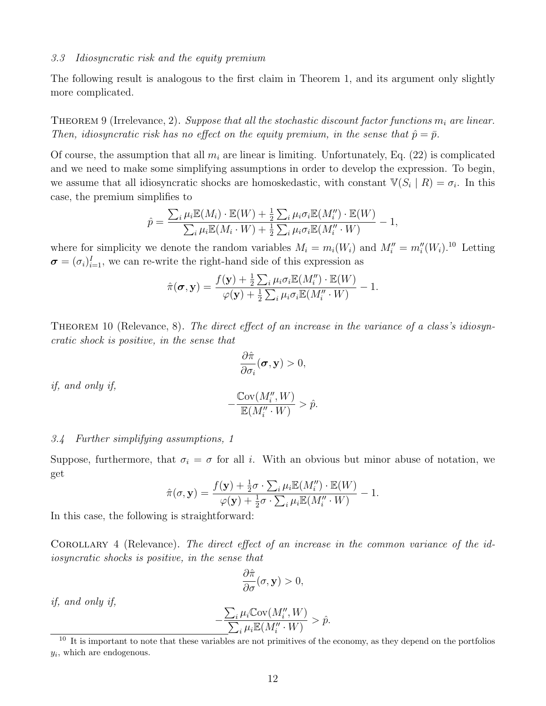## 3.3 Idiosyncratic risk and the equity premium

The following result is analogous to the first claim in Theorem 1, and its argument only slightly more complicated.

THEOREM 9 (Irrelevance, 2). Suppose that all the stochastic discount factor functions  $m_i$  are linear. Then, idiosyncratic risk has no effect on the equity premium, in the sense that  $\hat{p} = \bar{p}$ .

Of course, the assumption that all  $m_i$  are linear is limiting. Unfortunately, Eq. (22) is complicated and we need to make some simplifying assumptions in order to develop the expression. To begin, we assume that all idiosyncratic shocks are homoskedastic, with constant  $\mathbb{V}(S_i | R) = \sigma_i$ . In this case, the premium simplifies to

$$
\hat{p} = \frac{\sum_{i} \mu_i \mathbb{E}(M_i) \cdot \mathbb{E}(W) + \frac{1}{2} \sum_{i} \mu_i \sigma_i \mathbb{E}(M''_i) \cdot \mathbb{E}(W)}{\sum_{i} \mu_i \mathbb{E}(M_i \cdot W) + \frac{1}{2} \sum_{i} \mu_i \sigma_i \mathbb{E}(M''_i \cdot W)} - 1,
$$

where for simplicity we denote the random variables  $M_i = m_i(W_i)$  and  $M''_i = m''_i(W_i)$ .<sup>10</sup> Letting  $\boldsymbol{\sigma} = (\sigma_i)_{i=1}^I$ , we can re-write the right-hand side of this expression as

$$
\hat{\pi}(\boldsymbol{\sigma}, \mathbf{y}) = \frac{f(\mathbf{y}) + \frac{1}{2} \sum_{i} \mu_{i} \sigma_{i} \mathbb{E}(M_{i}^{"}) \cdot \mathbb{E}(W)}{\varphi(\mathbf{y}) + \frac{1}{2} \sum_{i} \mu_{i} \sigma_{i} \mathbb{E}(M_{i}^{"} \cdot W)} - 1.
$$

THEOREM 10 (Relevance, 8). The direct effect of an increase in the variance of a class's idiosyncratic shock is positive, in the sense that

$$
\frac{\partial \hat{\pi}}{\partial \sigma_i}(\boldsymbol{\sigma}, \mathbf{y}) > 0,
$$

if, and only if,

$$
-\frac{\mathbb{C}\text{ov}(M_i'', W)}{\mathbb{E}(M_i'' \cdot W)} > \hat{p}.
$$

## 3.4 Further simplifying assumptions, 1

Suppose, furthermore, that  $\sigma_i = \sigma$  for all i. With an obvious but minor abuse of notation, we get

$$
\hat{\pi}(\sigma, \mathbf{y}) = \frac{f(\mathbf{y}) + \frac{1}{2}\sigma \cdot \sum_{i} \mu_i \mathbb{E}(M''_i) \cdot \mathbb{E}(W)}{\varphi(\mathbf{y}) + \frac{1}{2}\sigma \cdot \sum_{i} \mu_i \mathbb{E}(M''_i \cdot W)} - 1.
$$

In this case, the following is straightforward:

COROLLARY 4 (Relevance). The direct effect of an increase in the common variance of the idiosyncratic shocks is positive, in the sense that

$$
\frac{\partial \hat{\pi}}{\partial \sigma}(\sigma, \mathbf{y}) > 0,
$$

if, and only if,

$$
-\frac{\sum_{i}\mu_{i} \mathbb{C}\text{ov}(M''_{i}, W)}{\sum_{i}\mu_{i} \mathbb{E}(M''_{i} \cdot W)} > \hat{p}.
$$

<sup>&</sup>lt;sup>10</sup> It is important to note that these variables are not primitives of the economy, as they depend on the portfolios  $y_i$ , which are endogenous.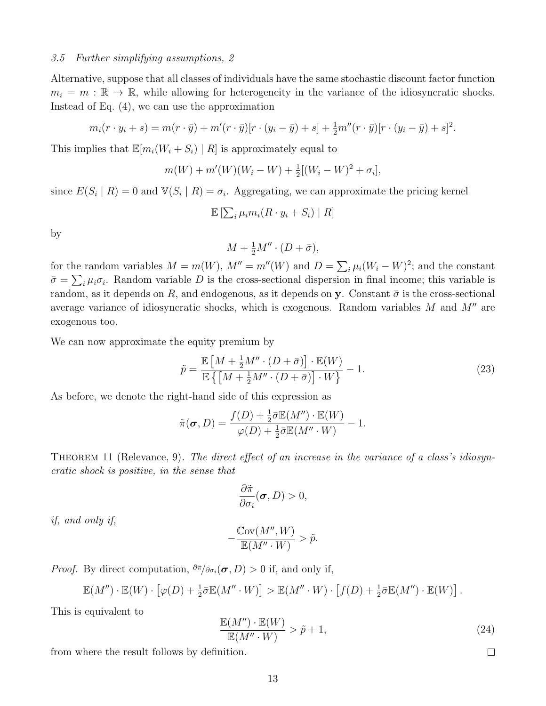## 3.5 Further simplifying assumptions, 2

Alternative, suppose that all classes of individuals have the same stochastic discount factor function  $m_i = m : \mathbb{R} \to \mathbb{R}$ , while allowing for heterogeneity in the variance of the idiosyncratic shocks. Instead of Eq. (4), we can use the approximation

$$
m_i(r \cdot y_i + s) = m(r \cdot \bar{y}) + m'(r \cdot \bar{y})[r \cdot (y_i - \bar{y}) + s] + \frac{1}{2}m''(r \cdot \bar{y})[r \cdot (y_i - \bar{y}) + s]^2.
$$

This implies that  $\mathbb{E}[m_i(W_i + S_i) | R]$  is approximately equal to

$$
m(W) + m'(W)(W_i - W) + \frac{1}{2}[(W_i - W)^2 + \sigma_i],
$$

since  $E(S_i | R) = 0$  and  $\mathbb{V}(S_i | R) = \sigma_i$ . Aggregating, we can approximate the pricing kernel

$$
\mathbb{E}\left[\sum_{i} \mu_i m_i (R \cdot y_i + S_i) \mid R\right]
$$

by

$$
M + \frac{1}{2}M'' \cdot (D + \bar{\sigma}),
$$

for the random variables  $M = m(W)$ ,  $M'' = m''(W)$  and  $D = \sum_i \mu_i (W_i - W)^2$ ; and the constant  $\bar{\sigma} = \sum_i \mu_i \sigma_i$ . Random variable D is the cross-sectional dispersion in final income; this variable is random, as it depends on R, and endogenous, as it depends on y. Constant  $\bar{\sigma}$  is the cross-sectional average variance of idiosyncratic shocks, which is exogenous. Random variables  $M$  and  $M''$  are exogenous too.

We can now approximate the equity premium by

$$
\tilde{p} = \frac{\mathbb{E}\left[M + \frac{1}{2}M'' \cdot (D + \bar{\sigma})\right] \cdot \mathbb{E}(W)}{\mathbb{E}\left\{\left[M + \frac{1}{2}M'' \cdot (D + \bar{\sigma})\right] \cdot W\right\}} - 1.
$$
\n(23)

As before, we denote the right-hand side of this expression as

$$
\tilde{\pi}(\pmb{\sigma},D)=\frac{f(D)+\frac{1}{2}\bar{\sigma}\mathbb{E}(M'')\cdot\mathbb{E}(W)}{\varphi(D)+\frac{1}{2}\bar{\sigma}\mathbb{E}(M''\cdot W)}-1.
$$

THEOREM 11 (Relevance, 9). The direct effect of an increase in the variance of a class's idiosyncratic shock is positive, in the sense that

$$
\frac{\partial \tilde{\pi}}{\partial \sigma_i}(\boldsymbol{\sigma}, D) > 0,
$$

if, and only if,

$$
-\frac{\mathbb{C}\mathrm{ov}(M'',W)}{\mathbb{E}(M''\cdot W)} > \tilde{p}.
$$

*Proof.* By direct computation,  $\partial \tilde{\pi}/\partial \sigma_i(\sigma, D) > 0$  if, and only if,

$$
\mathbb{E}(M'')\cdot \mathbb{E}(W)\cdot \left[\varphi(D) + \frac{1}{2}\bar{\sigma}\mathbb{E}(M''\cdot W)\right] > \mathbb{E}(M''\cdot W)\cdot \left[f(D) + \frac{1}{2}\bar{\sigma}\mathbb{E}(M'')\cdot \mathbb{E}(W)\right].
$$

This is equivalent to

$$
\frac{\mathbb{E}(M'') \cdot \mathbb{E}(W)}{\mathbb{E}(M'' \cdot W)} > \tilde{p} + 1,
$$
\n(24)

from where the result follows by definition.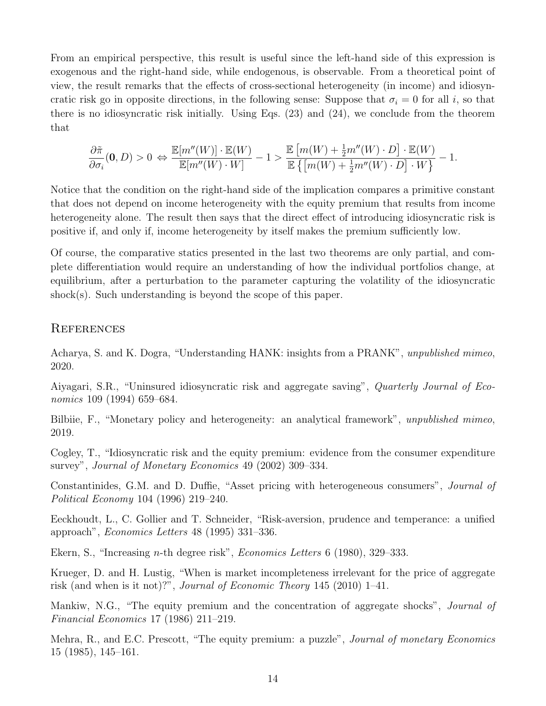From an empirical perspective, this result is useful since the left-hand side of this expression is exogenous and the right-hand side, while endogenous, is observable. From a theoretical point of view, the result remarks that the effects of cross-sectional heterogeneity (in income) and idiosyncratic risk go in opposite directions, in the following sense: Suppose that  $\sigma_i = 0$  for all i, so that there is no idiosyncratic risk initially. Using Eqs. (23) and (24), we conclude from the theorem that

$$
\frac{\partial \tilde{\pi}}{\partial \sigma_i}(\mathbf{0},D)>0 \ \Leftrightarrow\ \frac{\mathbb{E}[m''(W)]\cdot\mathbb{E}(W)}{\mathbb{E}[m''(W)\cdot W]}-1>\frac{\mathbb{E}\left[m(W)+\frac{1}{2}m''(W)\cdot D\right]\cdot\mathbb{E}(W)}{\mathbb{E}\left\{\left[m(W)+\frac{1}{2}m''(W)\cdot D\right]\cdot W\right\}}-1.
$$

Notice that the condition on the right-hand side of the implication compares a primitive constant that does not depend on income heterogeneity with the equity premium that results from income heterogeneity alone. The result then says that the direct effect of introducing idiosyncratic risk is positive if, and only if, income heterogeneity by itself makes the premium sufficiently low.

Of course, the comparative statics presented in the last two theorems are only partial, and complete differentiation would require an understanding of how the individual portfolios change, at equilibrium, after a perturbation to the parameter capturing the volatility of the idiosyncratic shock(s). Such understanding is beyond the scope of this paper.

# **REFERENCES**

Acharya, S. and K. Dogra, "Understanding HANK: insights from a PRANK", unpublished mimeo, 2020.

Aiyagari, S.R., "Uninsured idiosyncratic risk and aggregate saving", Quarterly Journal of Economics 109 (1994) 659–684.

Bilbiie, F., "Monetary policy and heterogeneity: an analytical framework", unpublished mimeo, 2019.

Cogley, T., "Idiosyncratic risk and the equity premium: evidence from the consumer expenditure survey", Journal of Monetary Economics 49 (2002) 309–334.

Constantinides, G.M. and D. Duffie, "Asset pricing with heterogeneous consumers", Journal of Political Economy 104 (1996) 219–240.

Eeckhoudt, L., C. Gollier and T. Schneider, "Risk-aversion, prudence and temperance: a unified approach", Economics Letters 48 (1995) 331–336.

Ekern, S., "Increasing n-th degree risk", Economics Letters 6 (1980), 329–333.

Krueger, D. and H. Lustig, "When is market incompleteness irrelevant for the price of aggregate risk (and when is it not)?", Journal of Economic Theory 145 (2010) 1–41.

Mankiw, N.G., "The equity premium and the concentration of aggregate shocks", *Journal of* Financial Economics 17 (1986) 211–219.

Mehra, R., and E.C. Prescott, "The equity premium: a puzzle", *Journal of monetary Economics* 15 (1985), 145–161.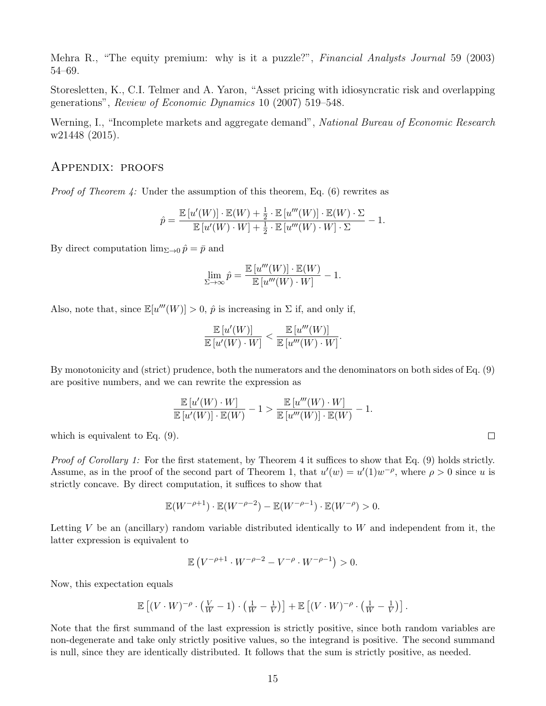Mehra R., "The equity premium: why is it a puzzle?", *Financial Analysts Journal* 59 (2003) 54–69.

Storesletten, K., C.I. Telmer and A. Yaron, "Asset pricing with idiosyncratic risk and overlapping generations", Review of Economic Dynamics 10 (2007) 519–548.

Werning, I., "Incomplete markets and aggregate demand", National Bureau of Economic Research w21448 (2015).

# Appendix: proofs

*Proof of Theorem 4:* Under the assumption of this theorem, Eq. (6) rewrites as

$$
\hat{p} = \frac{\mathbb{E}\left[u'(W)\right] \cdot \mathbb{E}(W) + \frac{1}{2} \cdot \mathbb{E}\left[u'''(W)\right] \cdot \mathbb{E}(W) \cdot \Sigma}{\mathbb{E}\left[u'(W) \cdot W\right] + \frac{1}{2} \cdot \mathbb{E}\left[u'''(W) \cdot W\right] \cdot \Sigma} - 1.
$$

By direct computation  $\lim_{\Sigma\to 0} \hat{p} = \bar{p}$  and

$$
\lim_{\Sigma \to \infty} \hat{p} = \frac{\mathbb{E}\left[u'''(W)\right] \cdot \mathbb{E}(W)}{\mathbb{E}\left[u'''(W) \cdot W\right]} - 1.
$$

Also, note that, since  $\mathbb{E}[u'''(W)] > 0$ ,  $\hat{p}$  is increasing in  $\Sigma$  if, and only if,

$$
\frac{\mathbb{E}\left[u'(W)\right]}{\mathbb{E}\left[u'(W)\cdot W\right]} < \frac{\mathbb{E}\left[u'''(W)\right]}{\mathbb{E}\left[u'''(W)\cdot W\right]}.
$$

By monotonicity and (strict) prudence, both the numerators and the denominators on both sides of Eq. (9) are positive numbers, and we can rewrite the expression as

$$
\frac{\mathbb{E}\left[u'(W)\cdot W\right]}{\mathbb{E}\left[u'(W)\right]\cdot \mathbb{E}(W)}-1>\frac{\mathbb{E}\left[u'''(W)\cdot W\right]}{\mathbb{E}\left[u''(W)\right]\cdot \mathbb{E}(W)}-1.
$$

which is equivalent to Eq. (9).

Proof of Corollary 1: For the first statement, by Theorem 4 it suffices to show that Eq. (9) holds strictly. Assume, as in the proof of the second part of Theorem 1, that  $u'(w) = u'(1)w^{-\rho}$ , where  $\rho > 0$  since u is strictly concave. By direct computation, it suffices to show that

$$
\mathbb{E}(W^{-\rho+1}) \cdot \mathbb{E}(W^{-\rho-2}) - \mathbb{E}(W^{-\rho-1}) \cdot \mathbb{E}(W^{-\rho}) > 0.
$$

Letting V be an (ancillary) random variable distributed identically to  $W$  and independent from it, the latter expression is equivalent to

$$
\mathbb{E}\left(V^{-\rho+1} \cdot W^{-\rho-2} - V^{-\rho} \cdot W^{-\rho-1}\right) > 0.
$$

Now, this expectation equals

$$
\mathbb{E}\left[ (V \cdot W)^{-\rho} \cdot \left( \frac{V}{W} - 1 \right) \cdot \left( \frac{1}{W} - \frac{1}{V} \right) \right] + \mathbb{E}\left[ (V \cdot W)^{-\rho} \cdot \left( \frac{1}{W} - \frac{1}{V} \right) \right].
$$

Note that the first summand of the last expression is strictly positive, since both random variables are non-degenerate and take only strictly positive values, so the integrand is positive. The second summand is null, since they are identically distributed. It follows that the sum is strictly positive, as needed.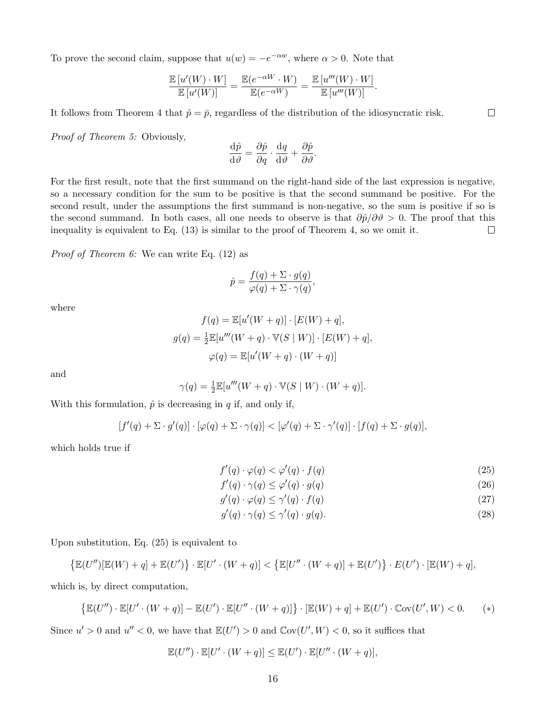To prove the second claim, suppose that  $u(w) = -e^{-\alpha w}$ , where  $\alpha > 0$ . Note that

$$
\frac{\mathbb{E}\left[u'(W)\cdot W\right]}{\mathbb{E}\left[u'(W)\right]} = \frac{\mathbb{E}(e^{-\alpha W}\cdot W)}{\mathbb{E}(e^{-\alpha W})} = \frac{\mathbb{E}\left[u'''(W)\cdot W\right]}{\mathbb{E}\left[u'''(W)\right]}.
$$

It follows from Theorem 4 that  $\hat{p} = \bar{p}$ , regardless of the distribution of the idiosyncratic risk.

Proof of Theorem 5: Obviously,

$$
\frac{\mathrm{d}\hat{p}}{\mathrm{d}\vartheta} = \frac{\partial\hat{p}}{\partial q} \cdot \frac{\mathrm{d}q}{\mathrm{d}\vartheta} + \frac{\partial\hat{p}}{\partial\vartheta}.
$$

For the first result, note that the first summand on the right-hand side of the last expression is negative, so a necessary condition for the sum to be positive is that the second summand be positive. For the second result, under the assumptions the first summand is non-negative, so the sum is positive if so is the second summand. In both cases, all one needs to observe is that  $\partial \hat{p}/\partial \theta > 0$ . The proof that this inequality is equivalent to Eq. (13) is similar to the proof of Theorem 4, so we omit it.  $\Box$ 

Proof of Theorem 6: We can write Eq. (12) as

$$
\hat{p} = \frac{f(q) + \Sigma \cdot g(q)}{\varphi(q) + \Sigma \cdot \gamma(q)},
$$

where

$$
f(q) = \mathbb{E}[u'(W+q)] \cdot [E(W) + q],
$$
  

$$
g(q) = \frac{1}{2} \mathbb{E}[u'''(W+q) \cdot \mathbb{V}(S \mid W)] \cdot [E(W) + q],
$$
  

$$
\varphi(q) = \mathbb{E}[u'(W+q) \cdot (W+q)]
$$

and

$$
\gamma(q) = \frac{1}{2} \mathbb{E}[u'''(W+q) \cdot \mathbb{V}(S \mid W) \cdot (W+q)].
$$

With this formulation,  $\hat{p}$  is decreasing in q if, and only if,

$$
[f'(q) + \Sigma \cdot g'(q)] \cdot [\varphi(q) + \Sigma \cdot \gamma(q)] < [\varphi'(q) + \Sigma \cdot \gamma'(q)] \cdot [f(q) + \Sigma \cdot g(q)],
$$

which holds true if

$$
f'(q) \cdot \varphi(q) < \varphi'(q) \cdot f(q) \tag{25}
$$

$$
f'(q) \cdot \gamma(q) \le \varphi'(q) \cdot g(q) \tag{26}
$$

$$
g'(q) \cdot \varphi(q) \le \gamma'(q) \cdot f(q) \tag{27}
$$

$$
g'(q) \cdot \gamma(q) \le \gamma'(q) \cdot g(q). \tag{28}
$$

Upon substitution, Eq. (25) is equivalent to

$$
\left\{\mathbb{E}(U'')\left[\mathbb{E}(W)+q\right]+\mathbb{E}(U')\right\}\cdot\mathbb{E}[U'\cdot(W+q)]<\left\{\mathbb{E}[U''\cdot(W+q)]+\mathbb{E}(U')\right\}\cdot E(U')\cdot\left[\mathbb{E}(W)+q\right],
$$

which is, by direct computation,

$$
\{\mathbb{E}(U'')\cdot\mathbb{E}[U'\cdot(W+q)]-\mathbb{E}(U')\cdot\mathbb{E}[U''\cdot(W+q)]\}\cdot[\mathbb{E}(W)+q]+\mathbb{E}(U')\cdot\mathbb{C}\text{ov}(U',W)<0.\qquad(*)
$$

Since  $u' > 0$  and  $u'' < 0$ , we have that  $\mathbb{E}(U') > 0$  and  $\mathbb{C}\text{ov}(U', W) < 0$ , so it suffices that

$$
\mathbb{E}(U'')\cdot \mathbb{E}[U'\cdot (W+q)] \leq \mathbb{E}(U')\cdot \mathbb{E}[U''\cdot (W+q)],
$$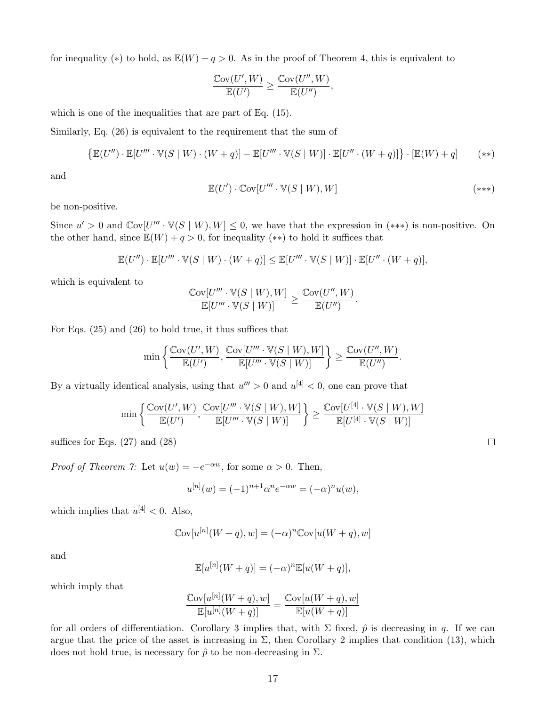for inequality (\*) to hold, as  $\mathbb{E}(W) + q > 0$ . As in the proof of Theorem 4, this is equivalent to

$$
\frac{\mathbb{C}\text{ov}(U',W)}{\mathbb{E}(U')} \ge \frac{\mathbb{C}\text{ov}(U'',W)}{\mathbb{E}(U'')},
$$

which is one of the inequalities that are part of Eq. (15).

Similarly, Eq. (26) is equivalent to the requirement that the sum of

$$
\{\mathbb{E}(U'')\cdot\mathbb{E}[U'''\cdot\mathbb{V}(S\mid W)\cdot(W+q)]-\mathbb{E}[U'''\cdot\mathbb{V}(S\mid W)]\cdot\mathbb{E}[U''\cdot(W+q)]\}\cdot[\mathbb{E}(W)+q] \qquad(**)
$$

and

$$
\mathbb{E}(U') \cdot \mathbb{C}\text{ov}[U''' \cdot \mathbb{V}(S \mid W), W] \tag{***}
$$

be non-positive.

Since  $u' > 0$  and  $\mathbb{C}\text{ov}[U''' \cdot \mathbb{V}(S \mid W), W] \leq 0$ , we have that the expression in  $(***)$  is non-positive. On the other hand, since  $\mathbb{E}(W) + q > 0$ , for inequality (\*\*) to hold it suffices that

$$
\mathbb{E}(U'')\cdot \mathbb{E}[U'''\cdot \mathbb{V}(S\mid W)\cdot (W+q)]\leq \mathbb{E}[U'''\cdot \mathbb{V}(S\mid W)]\cdot \mathbb{E}[U''\cdot (W+q)],
$$

which is equivalent to

$$
\frac{\mathbb{C}\text{ov}[U'''\cdot \mathbb{V}(S\mid W), W]}{\mathbb{E}[U'''\cdot \mathbb{V}(S\mid W)]} \ge \frac{\mathbb{C}\text{ov}(U'', W)}{\mathbb{E}(U'')}.
$$

For Eqs. (25) and (26) to hold true, it thus suffices that

$$
\min\left\{\frac{\mathbb{C}\textup{ov}(U',W)}{\mathbb{E}(U')},\frac{\mathbb{C}\textup{ov}[U'''\cdot\mathbb{V}(S\mid W),W]}{\mathbb{E}[U'''\cdot\mathbb{V}(S\mid W)]}\right\}\geq \frac{\mathbb{C}\textup{ov}(U'',W)}{\mathbb{E}(U'')}.
$$

By a virtually identical analysis, using that  $u''' > 0$  and  $u^{[4]} < 0$ , one can prove that

$$
\min\left\{\frac{\mathbb{C}\textup{ov}(U',W)}{\mathbb{E}(U')},\frac{\mathbb{C}\textup{ov}[U'''\cdot\mathbb{V}(S\mid W),W]}{\mathbb{E}[U'''\cdot\mathbb{V}(S\mid W)]}\right\}\geq \frac{\mathbb{C}\textup{ov}[U^{[4]}\cdot\mathbb{V}(S\mid W),W]}{\mathbb{E}[U^{[4]}\cdot\mathbb{V}(S\mid W)]}
$$

suffices for Eqs.  $(27)$  and  $(28)$ 

*Proof of Theorem 7:* Let  $u(w) = -e^{-\alpha w}$ , for some  $\alpha > 0$ . Then,

$$
u^{[n]}(w) = (-1)^{n+1} \alpha^n e^{-\alpha w} = (-\alpha)^n u(w),
$$

which implies that  $u^{[4]} < 0$ . Also,

$$
Cov[u^{[n]}(W+q), w] = (-\alpha)^n Cov[u(W+q), w]
$$

and

$$
\mathbb{E}[u^{[n]}(W+q)] = (-\alpha)^n \mathbb{E}[u(W+q)],
$$

which imply that

$$
\frac{\text{Cov}[u^{[n]}(W+q),w]}{\mathbb{E}[u^{[n]}(W+q)]} = \frac{\text{Cov}[u(W+q),w]}{\mathbb{E}[u(W+q)]}
$$

for all orders of differentiation. Corollary 3 implies that, with  $\Sigma$  fixed,  $\hat{p}$  is decreasing in q. If we can argue that the price of the asset is increasing in  $\Sigma$ , then Corollary 2 implies that condition (13), which does not hold true, is necessary for  $\hat{p}$  to be non-decreasing in  $\Sigma$ .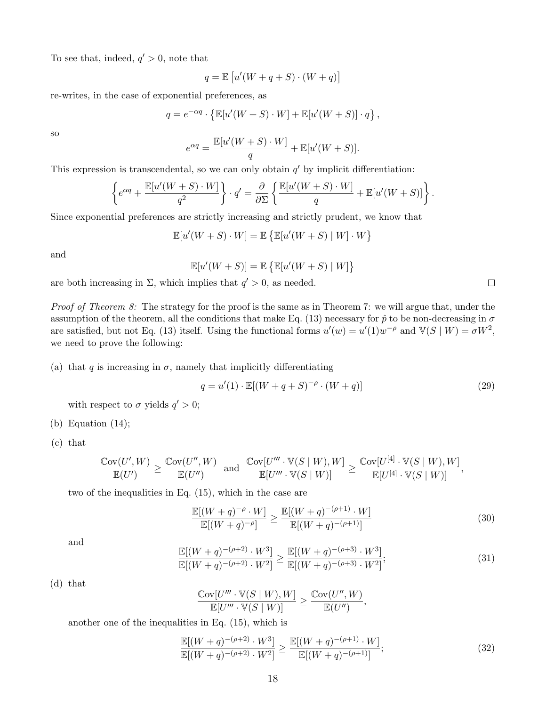To see that, indeed,  $q' > 0$ , note that

$$
q = \mathbb{E}\left[u'(W+q+S)\cdot(W+q)\right]
$$

re-writes, in the case of exponential preferences, as

$$
q = e^{-\alpha q} \cdot \left\{ \mathbb{E}[u'(W+S) \cdot W] + \mathbb{E}[u'(W+S)] \cdot q \right\},\,
$$

so

$$
e^{\alpha q} = \frac{\mathbb{E}[u'(W+S)\cdot W]}{q} + \mathbb{E}[u'(W+S)].
$$

This expression is transcendental, so we can only obtain  $q'$  by implicit differentiation:

$$
\left\{e^{\alpha q} + \frac{\mathbb{E}[u'(W+S)\cdot W]}{q^2}\right\} \cdot q' = \frac{\partial}{\partial \Sigma} \left\{\frac{\mathbb{E}[u'(W+S)\cdot W]}{q} + \mathbb{E}[u'(W+S)]\right\}.
$$

Since exponential preferences are strictly increasing and strictly prudent, we know that

$$
\mathbb{E}[u'(W+S)\cdot W] = \mathbb{E}\left\{\mathbb{E}[u'(W+S) | W] \cdot W\right\}
$$

and

$$
\mathbb{E}[u'(W+S)] = \mathbb{E}\left\{\mathbb{E}[u'(W+S) | W]\right\}
$$

are both increasing in  $\Sigma$ , which implies that  $q' > 0$ , as needed.

*Proof of Theorem 8:* The strategy for the proof is the same as in Theorem 7: we will argue that, under the assumption of the theorem, all the conditions that make Eq. (13) necessary for  $\hat{p}$  to be non-decreasing in  $\sigma$ are satisfied, but not Eq. (13) itself. Using the functional forms  $u'(w) = u'(1)w^{-\rho}$  and  $\mathbb{V}(S \mid W) = \sigma W^2$ , we need to prove the following:

(a) that q is increasing in  $\sigma$ , namely that implicitly differentiating

$$
q = u'(1) \cdot \mathbb{E}[(W+q+S)^{-\rho} \cdot (W+q)] \tag{29}
$$

with respect to  $\sigma$  yields  $q' > 0$ ;

- (b) Equation (14);
- (c) that

$$
\frac{\mathbb{C}\text{ov}(U',W)}{\mathbb{E}(U')} \ge \frac{\mathbb{C}\text{ov}(U'',W)}{\mathbb{E}(U'')} \text{ and } \frac{\mathbb{C}\text{ov}[U'''\cdot \mathbb{V}(S\mid W),W]}{\mathbb{E}[U'''\cdot \mathbb{V}(S\mid W)]} \ge \frac{\mathbb{C}\text{ov}[U^{[4]}\cdot \mathbb{V}(S\mid W),W]}{\mathbb{E}[U^{[4]}\cdot \mathbb{V}(S\mid W)]},
$$

two of the inequalities in Eq. (15), which in the case are

$$
\frac{\mathbb{E}[(W+q)^{-\rho} \cdot W]}{\mathbb{E}[(W+q)^{-\rho}} \ge \frac{\mathbb{E}[(W+q)^{-(\rho+1)} \cdot W]}{\mathbb{E}[(W+q)^{-(\rho+1)}]}
$$
(30)

and

$$
\frac{\mathbb{E}[(W+q)^{-(\rho+2)} \cdot W^3]}{\mathbb{E}[(W+q)^{-(\rho+2)} \cdot W^2]} \ge \frac{\mathbb{E}[(W+q)^{-(\rho+3)} \cdot W^3]}{\mathbb{E}[(W+q)^{-(\rho+3)} \cdot W^2]};
$$
\n(31)

(d) that

$$
\frac{\mathbb{C}\text{ov}[U'''\cdot \mathbb{V}(S\mid W), W]}{\mathbb{E}[U'''\cdot \mathbb{V}(S\mid W)]} \ge \frac{\mathbb{C}\text{ov}(U'', W)}{\mathbb{E}(U'')},
$$

another one of the inequalities in Eq. (15), which is

$$
\frac{\mathbb{E}[(W+q)^{-(\rho+2)} \cdot W^3]}{\mathbb{E}[(W+q)^{-(\rho+2)} \cdot W^2]} \ge \frac{\mathbb{E}[(W+q)^{-(\rho+1)} \cdot W]}{\mathbb{E}[(W+q)^{-(\rho+1)}]};
$$
\n(32)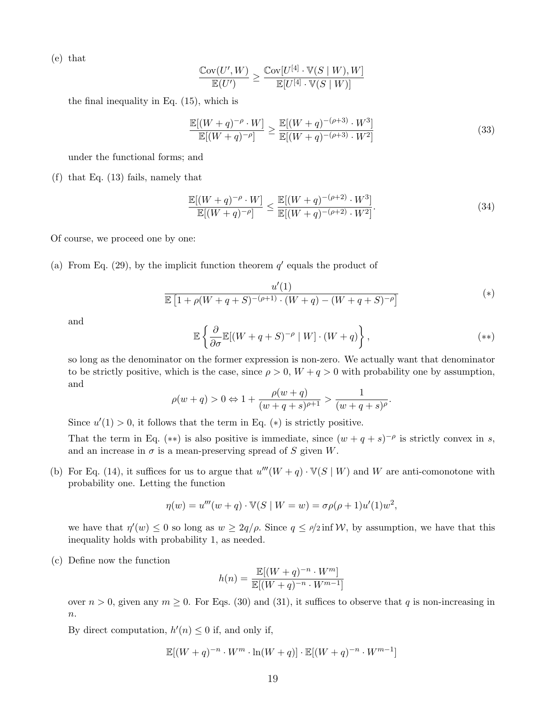(e) that

$$
\frac{\mathbb{C}\mathrm{ov}(U',W)}{\mathbb{E}(U')} \geq \frac{\mathbb{C}\mathrm{ov}[U^{[4]}\cdot \mathbb{V}(S\mid W),W]}{\mathbb{E}[U^{[4]}\cdot \mathbb{V}(S\mid W)]}
$$

the final inequality in Eq. (15), which is

$$
\frac{\mathbb{E}[(W+q)^{-\rho} \cdot W]}{\mathbb{E}[(W+q)^{-\rho}} \ge \frac{\mathbb{E}[(W+q)^{-(\rho+3)} \cdot W^3]}{\mathbb{E}[(W+q)^{-(\rho+3)} \cdot W^2]}
$$
\n(33)

under the functional forms; and

(f) that Eq. (13) fails, namely that

$$
\frac{\mathbb{E}[(W+q)^{-\rho} \cdot W]}{\mathbb{E}[(W+q)^{-\rho}} \le \frac{\mathbb{E}[(W+q)^{-(\rho+2)} \cdot W^3]}{\mathbb{E}[(W+q)^{-(\rho+2)} \cdot W^2]}.
$$
\n(34)

Of course, we proceed one by one:

(a) From Eq. (29), by the implicit function theorem  $q'$  equals the product of

$$
\frac{u'(1)}{\mathbb{E}\left[1+\rho(W+q+S)^{-(\rho+1)}\cdot(W+q)-(W+q+S)^{-\rho}\right]}\tag{*}
$$

and

$$
\mathbb{E}\left\{\frac{\partial}{\partial \sigma}\mathbb{E}[(W+q+S)^{-\rho} \mid W] \cdot (W+q)\right\},\tag{**}
$$

so long as the denominator on the former expression is non-zero. We actually want that denominator to be strictly positive, which is the case, since  $\rho > 0$ ,  $W + q > 0$  with probability one by assumption, and

$$
\rho(w + q) > 0 \Leftrightarrow 1 + \frac{\rho(w + q)}{(w + q + s)^{\rho + 1}} > \frac{1}{(w + q + s)^{\rho}}.
$$

Since  $u'(1) > 0$ , it follows that the term in Eq. (\*) is strictly positive.

That the term in Eq. (\*\*) is also positive is immediate, since  $(w+q+s)^{-\rho}$  is strictly convex in s, and an increase in  $\sigma$  is a mean-preserving spread of S given W.

(b) For Eq. (14), it suffices for us to argue that  $u'''(W + q) \cdot V(S | W)$  and W are anti-comonotone with probability one. Letting the function

$$
\eta(w) = u'''(w + q) \cdot \mathbb{V}(S \mid W = w) = \sigma \rho(\rho + 1)u'(1)w^{2},
$$

we have that  $\eta'(w) \leq 0$  so long as  $w \geq 2q/\rho$ . Since  $q \leq \rho/2$  inf W, by assumption, we have that this inequality holds with probability 1, as needed.

(c) Define now the function

$$
h(n) = \frac{\mathbb{E}[(W+q)^{-n} \cdot W^m]}{\mathbb{E}[(W+q)^{-n} \cdot W^{m-1}]}
$$

over  $n > 0$ , given any  $m \ge 0$ . For Eqs. (30) and (31), it suffices to observe that q is non-increasing in  $n$ .

By direct computation,  $h'(n) \leq 0$  if, and only if,

$$
\mathbb{E}[(W+q)^{-n} \cdot W^m \cdot \ln(W+q)] \cdot \mathbb{E}[(W+q)^{-n} \cdot W^{m-1}]
$$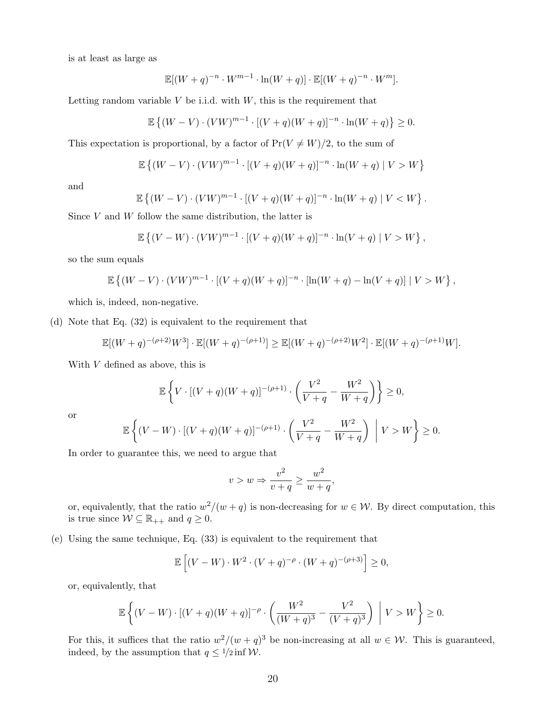is at least as large as

$$
\mathbb{E}[(W+q)^{-n} \cdot W^{m-1} \cdot \ln(W+q)] \cdot \mathbb{E}[(W+q)^{-n} \cdot W^{m}].
$$

Letting random variable  $V$  be i.i.d. with  $W$ , this is the requirement that

$$
\mathbb{E}\left\{(W-V)\cdot (VW)^{m-1}\cdot [(V+q)(W+q)]^{-n}\cdot \ln(W+q)\right\}\geq 0.
$$

This expectation is proportional, by a factor of  $Pr(V \neq W)/2$ , to the sum of

$$
\mathbb{E}\left\{(W-V)\cdot (VW)^{m-1}\cdot [(V+q)(W+q)]^{-n}\cdot \ln(W+q) \mid V > W\right\}
$$

and

$$
\mathbb{E}\left\{(W-V)\cdot (VW)^{m-1}\cdot [(V+q)(W+q)]^{-n}\cdot \ln(W+q) \mid V
$$

Since  $V$  and  $W$  follow the same distribution, the latter is

$$
\mathbb{E}\left\{(V-W)\cdot (VW)^{m-1}\cdot [(V+q)(W+q)]^{-n}\cdot \ln(V+q) \mid V > W\right\},\right
$$

so the sum equals

$$
\mathbb{E}\left\{(W-V)\cdot (V W)^{m-1}\cdot [(V+q)(W+q)]^{-n}\cdot [\ln(W+q)-\ln(V+q)]\mid V>W\right\},\right\}
$$

which is, indeed, non-negative.

(d) Note that Eq. (32) is equivalent to the requirement that

$$
\mathbb{E}[(W+q)^{-(\rho+2)}W^3] \cdot \mathbb{E}[(W+q)^{-(\rho+1)}] \ge \mathbb{E}[(W+q)^{-(\rho+2)}W^2] \cdot \mathbb{E}[(W+q)^{-(\rho+1)}W].
$$

With V defined as above, this is

$$
\mathbb{E}\left\{V \cdot [(V+q)(W+q)]^{-(\rho+1)} \cdot \left(\frac{V^2}{V+q} - \frac{W^2}{W+q}\right)\right\} \ge 0,
$$

or

$$
\mathbb{E}\left\{ (V - W) \cdot [(V + q)(W + q)]^{-(\rho + 1)} \cdot \left( \frac{V^2}{V + q} - \frac{W^2}{W + q} \right) \middle| V > W \right\} \ge 0.
$$

In order to guarantee this, we need to argue that

$$
v > w \Rightarrow \frac{v^2}{v+q} \ge \frac{w^2}{w+q},
$$

or, equivalently, that the ratio  $w^2/(w+q)$  is non-decreasing for  $w \in \mathcal{W}$ . By direct computation, this is true since  $W \subseteq \mathbb{R}_{++}$  and  $q \geq 0$ .

(e) Using the same technique, Eq. (33) is equivalent to the requirement that

$$
\mathbb{E}\left[ (V - W) \cdot W^2 \cdot (V + q)^{-\rho} \cdot (W + q)^{-(\rho + 3)} \right] \ge 0,
$$

or, equivalently, that

$$
\mathbb{E}\left\{(V-W)\cdot[(V+q)(W+q)]^{-\rho}\cdot\left(\frac{W^2}{(W+q)^3}-\frac{V^2}{(V+q)^3}\right)\ \Big|\ V>W\right\}\geq 0.
$$

For this, it suffices that the ratio  $w^2/(w+q)^3$  be non-increasing at all  $w \in \mathcal{W}$ . This is guaranteed, indeed, by the assumption that  $q \leq 1/2$  inf W.